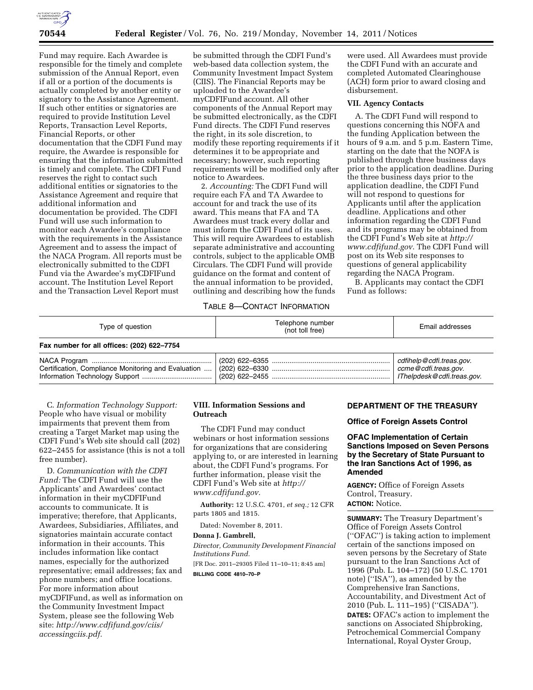

Fund may require. Each Awardee is responsible for the timely and complete submission of the Annual Report, even if all or a portion of the documents is actually completed by another entity or signatory to the Assistance Agreement. If such other entities or signatories are required to provide Institution Level Reports, Transaction Level Reports, Financial Reports, or other documentation that the CDFI Fund may require, the Awardee is responsible for ensuring that the information submitted is timely and complete. The CDFI Fund reserves the right to contact such additional entities or signatories to the Assistance Agreement and require that additional information and documentation be provided. The CDFI Fund will use such information to monitor each Awardee's compliance with the requirements in the Assistance Agreement and to assess the impact of the NACA Program. All reports must be electronically submitted to the CDFI Fund via the Awardee's myCDFIFund account. The Institution Level Report and the Transaction Level Report must

be submitted through the CDFI Fund's web-based data collection system, the Community Investment Impact System (CIIS). The Financial Reports may be uploaded to the Awardee's myCDFIFund account. All other components of the Annual Report may be submitted electronically, as the CDFI Fund directs. The CDFI Fund reserves the right, in its sole discretion, to modify these reporting requirements if it determines it to be appropriate and necessary; however, such reporting requirements will be modified only after notice to Awardees.

2. *Accounting:* The CDFI Fund will require each FA and TA Awardee to account for and track the use of its award. This means that FA and TA Awardees must track every dollar and must inform the CDFI Fund of its uses. This will require Awardees to establish separate administrative and accounting controls, subject to the applicable OMB Circulars. The CDFI Fund will provide guidance on the format and content of the annual information to be provided, outlining and describing how the funds

were used. All Awardees must provide the CDFI Fund with an accurate and completed Automated Clearinghouse (ACH) form prior to award closing and disbursement.

### **VII. Agency Contacts**

A. The CDFI Fund will respond to questions concerning this NOFA and the funding Application between the hours of 9 a.m. and 5 p.m. Eastern Time, starting on the date that the NOFA is published through three business days prior to the application deadline. During the three business days prior to the application deadline, the CDFI Fund will not respond to questions for Applicants until after the application deadline. Applications and other information regarding the CDFI Fund and its programs may be obtained from the CDFI Fund's Web site at *[http://](http://www.cdfifund.gov) [www.cdfifund.gov.](http://www.cdfifund.gov)* The CDFI Fund will post on its Web site responses to questions of general applicability regarding the NACA Program.

B. Applicants may contact the CDFI Fund as follows:

# TABLE 8—CONTACT INFORMATION

| Type of question                           | Telephone number<br>(not toll free) | Email addresses |
|--------------------------------------------|-------------------------------------|-----------------|
| Fax number for all offices: (202) 622-7754 |                                     |                 |

C. *Information Technology Support:*  People who have visual or mobility impairments that prevent them from creating a Target Market map using the CDFI Fund's Web site should call (202) 622–2455 for assistance (this is not a toll free number).

D. *Communication with the CDFI Fund:* The CDFI Fund will use the Applicants' and Awardees' contact information in their myCDFIFund accounts to communicate. It is imperative; therefore, that Applicants, Awardees, Subsidiaries, Affiliates, and signatories maintain accurate contact information in their accounts. This includes information like contact names, especially for the authorized representative; email addresses; fax and phone numbers; and office locations. For more information about myCDFIFund, as well as information on the Community Investment Impact System, please see the following Web site: *[http://www.cdfifund.gov/ciis/](http://www.cdfifund.gov/ciis/accessingciis.pdf) [accessingciis.pdf.](http://www.cdfifund.gov/ciis/accessingciis.pdf)* 

# **VIII. Information Sessions and Outreach**

The CDFI Fund may conduct webinars or host information sessions for organizations that are considering applying to, or are interested in learning about, the CDFI Fund's programs. For further information, please visit the CDFI Fund's Web site at *[http://](http://www.cdfifund.gov)  [www.cdfifund.gov.](http://www.cdfifund.gov)* 

**Authority:** 12 U.S.C. 4701, *et seq.;* 12 CFR parts 1805 and 1815.

Dated: November 8, 2011.

# **Donna J. Gambrell,**

*Director, Community Development Financial Institutions Fund.* 

[FR Doc. 2011–29305 Filed 11–10–11; 8:45 am] **BILLING CODE 4810–70–P** 

#### **DEPARTMENT OF THE TREASURY**

#### **Office of Foreign Assets Control**

**OFAC Implementation of Certain Sanctions Imposed on Seven Persons by the Secretary of State Pursuant to the Iran Sanctions Act of 1996, as Amended** 

**AGENCY:** Office of Foreign Assets Control, Treasury. **ACTION:** Notice.

**SUMMARY:** The Treasury Department's Office of Foreign Assets Control (''OFAC'') is taking action to implement certain of the sanctions imposed on seven persons by the Secretary of State pursuant to the Iran Sanctions Act of 1996 (Pub. L. 104–172) (50 U.S.C. 1701 note) (''ISA''), as amended by the Comprehensive Iran Sanctions, Accountability, and Divestment Act of 2010 (Pub. L. 111–195) (''CISADA''). **DATES:** OFAC's action to implement the sanctions on Associated Shipbroking, Petrochemical Commercial Company International, Royal Oyster Group,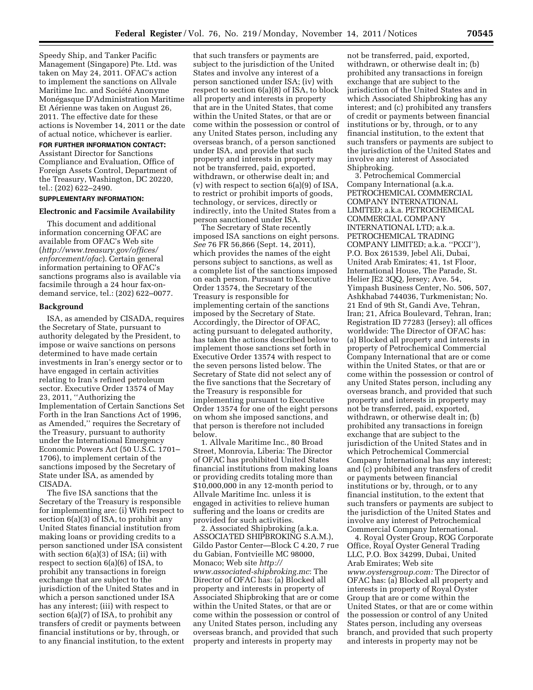Speedy Ship, and Tanker Pacific Management (Singapore) Pte. Ltd. was taken on May 24, 2011. OFAC's action to implement the sanctions on Allvale Maritime Inc. and Société Anonyme Monégasque D'Administration Maritime Et Aérienne was taken on August 26, 2011. The effective date for these actions is November 14, 2011 or the date of actual notice, whichever is earlier.

# **FOR FURTHER INFORMATION CONTACT:**

Assistant Director for Sanctions Compliance and Evaluation, Office of Foreign Assets Control, Department of the Treasury, Washington, DC 20220, tel.: (202) 622–2490.

### **SUPPLEMENTARY INFORMATION:**

#### **Electronic and Facsimile Availability**

This document and additional information concerning OFAC are available from OFAC's Web site (*[http://www.treasury.gov/offices/](http://www.treasury.gov/offices/enforcement/ofac)  [enforcement/ofac](http://www.treasury.gov/offices/enforcement/ofac)*). Certain general information pertaining to OFAC's sanctions programs also is available via facsimile through a 24 hour fax-ondemand service, tel.: (202) 622–0077.

#### **Background**

ISA, as amended by CISADA, requires the Secretary of State, pursuant to authority delegated by the President, to impose or waive sanctions on persons determined to have made certain investments in Iran's energy sector or to have engaged in certain activities relating to Iran's refined petroleum sector. Executive Order 13574 of May 23, 2011, ''Authorizing the Implementation of Certain Sanctions Set Forth in the Iran Sanctions Act of 1996, as Amended,'' requires the Secretary of the Treasury, pursuant to authority under the International Emergency Economic Powers Act (50 U.S.C. 1701– 1706), to implement certain of the sanctions imposed by the Secretary of State under ISA, as amended by CISADA.

The five ISA sanctions that the Secretary of the Treasury is responsible for implementing are: (i) With respect to section 6(a)(3) of ISA, to prohibit any United States financial institution from making loans or providing credits to a person sanctioned under ISA consistent with section  $6(a)(3)$  of ISA; (ii) with respect to section 6(a)(6) of ISA, to prohibit any transactions in foreign exchange that are subject to the jurisdiction of the United States and in which a person sanctioned under ISA has any interest; (iii) with respect to section 6(a)(7) of ISA, to prohibit any transfers of credit or payments between financial institutions or by, through, or to any financial institution, to the extent

that such transfers or payments are subject to the jurisdiction of the United States and involve any interest of a person sanctioned under ISA; (iv) with respect to section 6(a)(8) of ISA, to block all property and interests in property that are in the United States, that come within the United States, or that are or come within the possession or control of any United States person, including any overseas branch, of a person sanctioned under ISA, and provide that such property and interests in property may not be transferred, paid, exported, withdrawn, or otherwise dealt in; and (v) with respect to section 6(a)(9) of ISA, to restrict or prohibit imports of goods, technology, or services, directly or indirectly, into the United States from a person sanctioned under ISA.

The Secretary of State recently imposed ISA sanctions on eight persons. *See* 76 FR 56,866 (Sept. 14, 2011), which provides the names of the eight persons subject to sanctions, as well as a complete list of the sanctions imposed on each person. Pursuant to Executive Order 13574, the Secretary of the Treasury is responsible for implementing certain of the sanctions imposed by the Secretary of State. Accordingly, the Director of OFAC, acting pursuant to delegated authority, has taken the actions described below to implement those sanctions set forth in Executive Order 13574 with respect to the seven persons listed below. The Secretary of State did not select any of the five sanctions that the Secretary of the Treasury is responsible for implementing pursuant to Executive Order 13574 for one of the eight persons on whom she imposed sanctions, and that person is therefore not included below.

1. Allvale Maritime Inc., 80 Broad Street, Monrovia, Liberia: The Director of OFAC has prohibited United States financial institutions from making loans or providing credits totaling more than \$10,000,000 in any 12-month period to Allvale Maritime Inc. unless it is engaged in activities to relieve human suffering and the loans or credits are provided for such activities.

2. Associated Shipbroking (a.k.a. ASSOCIATED SHIPBROKING S.A.M.), Gildo Pastor Center—Block C 4.20, 7 rue du Gabian, Fontvieille MC 98000, Monaco; Web site *http:// www.associated-shipbroking.mc*: The Director of OFAC has: (a) Blocked all property and interests in property of Associated Shipbroking that are or come within the United States, or that are or come within the possession or control of any United States person, including any overseas branch, and provided that such property and interests in property may

not be transferred, paid, exported, withdrawn, or otherwise dealt in; (b) prohibited any transactions in foreign exchange that are subject to the jurisdiction of the United States and in which Associated Shipbroking has any interest; and (c) prohibited any transfers of credit or payments between financial institutions or by, through, or to any financial institution, to the extent that such transfers or payments are subject to the jurisdiction of the United States and involve any interest of Associated Shipbroking.

3. Petrochemical Commercial Company International (a.k.a. PETROCHEMICAL COMMERCIAL COMPANY INTERNATIONAL LIMITED; a.k.a. PETROCHEMICAL COMMERCIAL COMPANY INTERNATIONAL LTD; a.k.a. PETROCHEMICAL TRADING COMPANY LIMITED; a.k.a. ''PCCI''), P.O. Box 261539, Jebel Ali, Dubai, United Arab Emirates; 41, 1st Floor, International House, The Parade, St. Helier JE2 3QQ, Jersey; Ave. 54, Yimpash Business Center, No. 506, 507, Ashkhabad 744036, Turkmenistan; No. 21 End of 9th St, Gandi Ave, Tehran, Iran; 21, Africa Boulevard, Tehran, Iran; Registration ID 77283 (Jersey); all offices worldwide: The Director of OFAC has: (a) Blocked all property and interests in property of Petrochemical Commercial Company International that are or come within the United States, or that are or come within the possession or control of any United States person, including any overseas branch, and provided that such property and interests in property may not be transferred, paid, exported, withdrawn, or otherwise dealt in; (b) prohibited any transactions in foreign exchange that are subject to the jurisdiction of the United States and in which Petrochemical Commercial Company International has any interest; and (c) prohibited any transfers of credit or payments between financial institutions or by, through, or to any financial institution, to the extent that such transfers or payments are subject to the jurisdiction of the United States and involve any interest of Petrochemical Commercial Company International.

4. Royal Oyster Group, ROG Corporate Office, Royal Oyster General Trading LLC, P.O. Box 34299, Dubai, United Arab Emirates; Web site *[www.oystersgroup.com:](http://www.oystersgroup.com)* The Director of OFAC has: (a) Blocked all property and interests in property of Royal Oyster Group that are or come within the United States, or that are or come within the possession or control of any United States person, including any overseas branch, and provided that such property and interests in property may not be